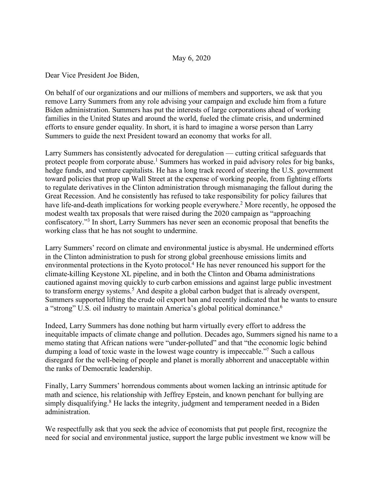## May 6, 2020

Dear Vice President Joe Biden,

On behalf of our organizations and our millions of members and supporters, we ask that you remove Larry Summers from any role advising your campaign and exclude him from a future Biden administration. Summers has put the interests of large corporations ahead of working families in the United States and around the world, fueled the climate crisis, and undermined efforts to ensure gender equality. In short, it is hard to imagine a worse person than Larry Summers to guide the next President toward an economy that works for all.

Larry Summers has consistently advocated for deregulation — cutting critical safeguards that protect people from corporate abuse.<sup>1</sup> Summers has worked in paid advisory roles for big banks, hedge funds, and venture capitalists. He has a long track record of steering the U.S. government toward policies that prop up Wall Street at the expense of working people, from fighting efforts to regulate derivatives in the Clinton administration through mismanaging the fallout during the Great Recession. And he consistently has refused to take responsibility for policy failures that have life-and-death implications for working people everywhere.<sup>2</sup> More recently, he opposed the modest wealth tax proposals that were raised during the 2020 campaign as "approaching confiscatory."3 In short, Larry Summers has never seen an economic proposal that benefits the working class that he has not sought to undermine.

Larry Summers' record on climate and environmental justice is abysmal. He undermined efforts in the Clinton administration to push for strong global greenhouse emissions limits and environmental protections in the Kyoto protocol.<sup>4</sup> He has never renounced his support for the climate-killing Keystone XL pipeline, and in both the Clinton and Obama administrations cautioned against moving quickly to curb carbon emissions and against large public investment to transform energy systems.<sup>5</sup> And despite a global carbon budget that is already overspent, Summers supported lifting the crude oil export ban and recently indicated that he wants to ensure a "strong" U.S. oil industry to maintain America's global political dominance.<sup>6</sup>

Indeed, Larry Summers has done nothing but harm virtually every effort to address the inequitable impacts of climate change and pollution. Decades ago, Summers signed his name to a memo stating that African nations were "under-polluted" and that "the economic logic behind dumping a load of toxic waste in the lowest wage country is impeccable."<sup>7</sup> Such a callous disregard for the well-being of people and planet is morally abhorrent and unacceptable within the ranks of Democratic leadership.

Finally, Larry Summers' horrendous comments about women lacking an intrinsic aptitude for math and science, his relationship with Jeffrey Epstein, and known penchant for bullying are simply disqualifying. $8$  He lacks the integrity, judgment and temperament needed in a Biden administration.

We respectfully ask that you seek the advice of economists that put people first, recognize the need for social and environmental justice, support the large public investment we know will be